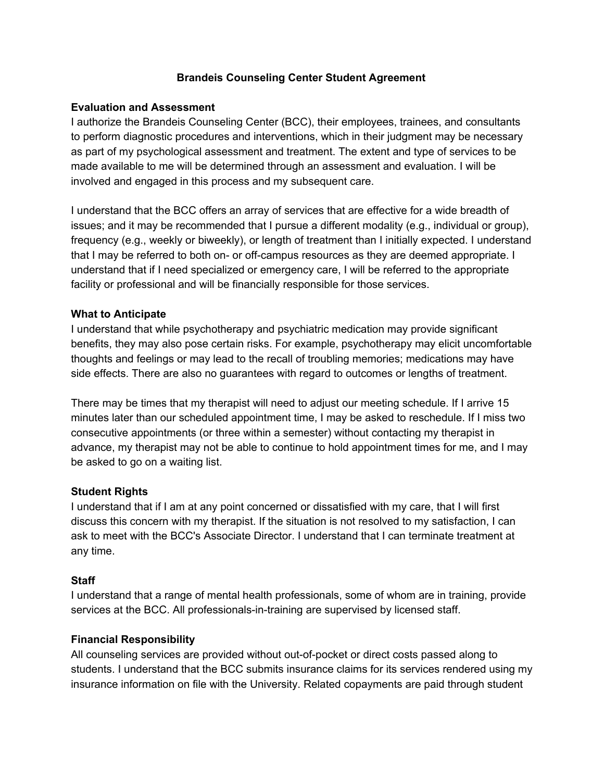## **Brandeis Counseling Center Student Agreement**

### **Evaluation and Assessment**

I authorize the Brandeis Counseling Center (BCC), their employees, trainees, and consultants to perform diagnostic procedures and interventions, which in their judgment may be necessary as part of my psychological assessment and treatment. The extent and type of services to be made available to me will be determined through an assessment and evaluation. I will be involved and engaged in this process and my subsequent care.

I understand that the BCC offers an array of services that are effective for a wide breadth of issues; and it may be recommended that I pursue a different modality (e.g., individual or group), frequency (e.g., weekly or biweekly), or length of treatment than I initially expected. I understand that I may be referred to both on- or off-campus resources as they are deemed appropriate. I understand that if I need specialized or emergency care, I will be referred to the appropriate facility or professional and will be financially responsible for those services.

### **What to Anticipate**

I understand that while psychotherapy and psychiatric medication may provide significant benefits, they may also pose certain risks. For example, psychotherapy may elicit uncomfortable thoughts and feelings or may lead to the recall of troubling memories; medications may have side effects. There are also no guarantees with regard to outcomes or lengths of treatment.

There may be times that my therapist will need to adjust our meeting schedule. If I arrive 15 minutes later than our scheduled appointment time, I may be asked to reschedule. If I miss two consecutive appointments (or three within a semester) without contacting my therapist in advance, my therapist may not be able to continue to hold appointment times for me, and I may be asked to go on a waiting list.

### **Student Rights**

I understand that if I am at any point concerned or dissatisfied with my care, that I will first discuss this concern with my therapist. If the situation is not resolved to my satisfaction, I can ask to meet with the BCC's Associate Director. I understand that I can terminate treatment at any time.

### **Staff**

I understand that a range of mental health professionals, some of whom are in training, provide services at the BCC. All professionals-in-training are supervised by licensed staff.

### **Financial Responsibility**

All counseling services are provided without out-of-pocket or direct costs passed along to students. I understand that the BCC submits insurance claims for its services rendered using my insurance information on file with the University. Related copayments are paid through student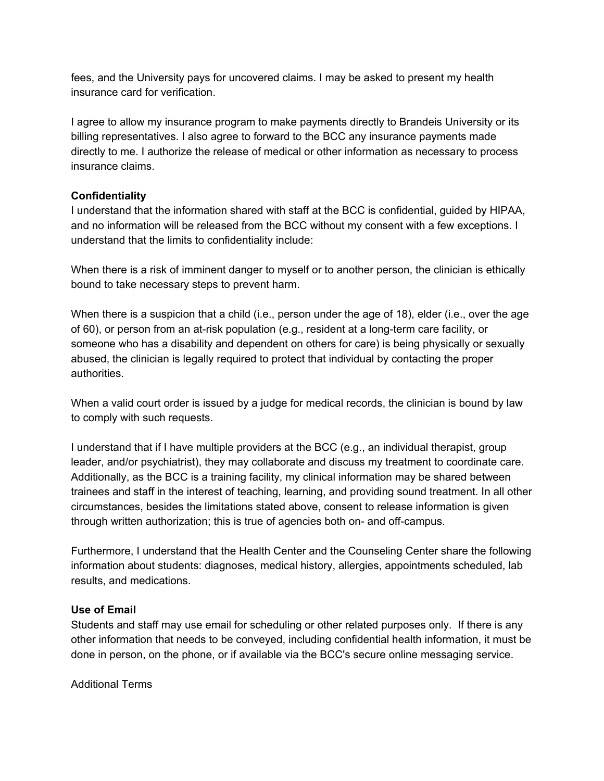fees, and the University pays for uncovered claims. I may be asked to present my health insurance card for verification.

I agree to allow my insurance program to make payments directly to Brandeis University or its billing representatives. I also agree to forward to the BCC any insurance payments made directly to me. I authorize the release of medical or other information as necessary to process insurance claims.

## **Confidentiality**

I understand that the information shared with staff at the BCC is confidential, guided by HIPAA, and no information will be released from the BCC without my consent with a few exceptions. I understand that the limits to confidentiality include:

When there is a risk of imminent danger to myself or to another person, the clinician is ethically bound to take necessary steps to prevent harm.

When there is a suspicion that a child (i.e., person under the age of 18), elder (i.e., over the age of 60), or person from an at-risk population (e.g., resident at a long-term care facility, or someone who has a disability and dependent on others for care) is being physically or sexually abused, the clinician is legally required to protect that individual by contacting the proper authorities.

When a valid court order is issued by a judge for medical records, the clinician is bound by law to comply with such requests.

I understand that if I have multiple providers at the BCC (e.g., an individual therapist, group leader, and/or psychiatrist), they may collaborate and discuss my treatment to coordinate care. Additionally, as the BCC is a training facility, my clinical information may be shared between trainees and staff in the interest of teaching, learning, and providing sound treatment. In all other circumstances, besides the limitations stated above, consent to release information is given through written authorization; this is true of agencies both on- and off-campus.

Furthermore, I understand that the Health Center and the Counseling Center share the following information about students: diagnoses, medical history, allergies, appointments scheduled, lab results, and medications.

### **Use of Email**

Students and staff may use email for scheduling or other related purposes only. If there is any other information that needs to be conveyed, including confidential health information, it must be done in person, on the phone, or if available via the BCC's secure online messaging service.

Additional Terms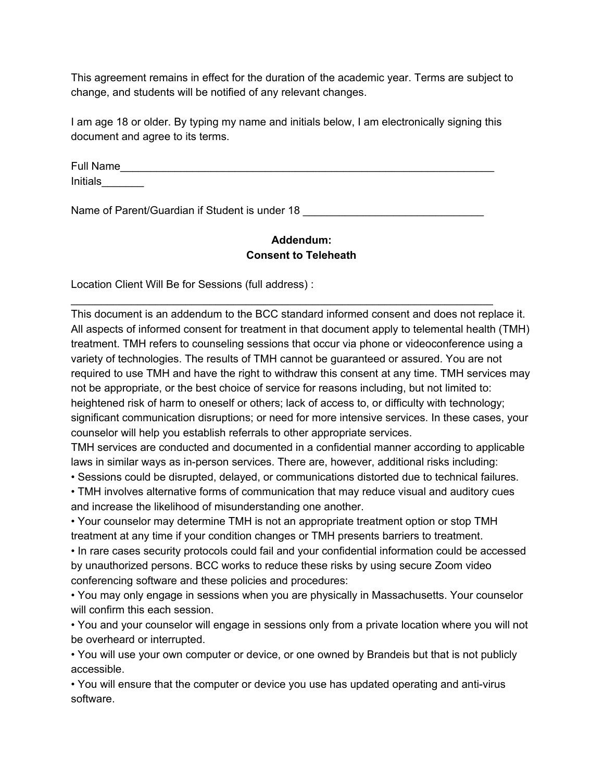This agreement remains in effect for the duration of the academic year. Terms are subject to change, and students will be notified of any relevant changes.

I am age 18 or older. By typing my name and initials below, I am electronically signing this document and agree to its terms.

Full Name Initials\_\_\_\_\_\_\_

\_\_\_\_\_\_\_\_\_\_\_\_\_\_\_\_\_\_\_\_\_\_\_\_\_\_\_\_\_\_\_\_\_\_\_\_\_\_\_\_\_\_\_\_\_\_\_\_\_\_\_\_\_\_\_\_\_\_\_\_\_\_\_\_\_\_\_\_\_\_

Name of Parent/Guardian if Student is under 18 \_\_\_\_\_\_\_\_\_\_\_\_\_\_\_\_\_\_\_\_\_\_\_\_\_\_\_\_\_\_\_\_\_

# **Addendum: Consent to Teleheath**

Location Client Will Be for Sessions (full address) :

This document is an addendum to the BCC standard informed consent and does not replace it. All aspects of informed consent for treatment in that document apply to telemental health (TMH) treatment. TMH refers to counseling sessions that occur via phone or videoconference using a variety of technologies. The results of TMH cannot be guaranteed or assured. You are not required to use TMH and have the right to withdraw this consent at any time. TMH services may not be appropriate, or the best choice of service for reasons including, but not limited to: heightened risk of harm to oneself or others; lack of access to, or difficulty with technology; significant communication disruptions; or need for more intensive services. In these cases, your counselor will help you establish referrals to other appropriate services.

TMH services are conducted and documented in a confidential manner according to applicable laws in similar ways as in-person services. There are, however, additional risks including:

• Sessions could be disrupted, delayed, or communications distorted due to technical failures.

• TMH involves alternative forms of communication that may reduce visual and auditory cues and increase the likelihood of misunderstanding one another.

• Your counselor may determine TMH is not an appropriate treatment option or stop TMH treatment at any time if your condition changes or TMH presents barriers to treatment.

• In rare cases security protocols could fail and your confidential information could be accessed by unauthorized persons. BCC works to reduce these risks by using secure Zoom video conferencing software and these policies and procedures:

• You may only engage in sessions when you are physically in Massachusetts. Your counselor will confirm this each session.

• You and your counselor will engage in sessions only from a private location where you will not be overheard or interrupted.

• You will use your own computer or device, or one owned by Brandeis but that is not publicly accessible.

• You will ensure that the computer or device you use has updated operating and anti-virus software.